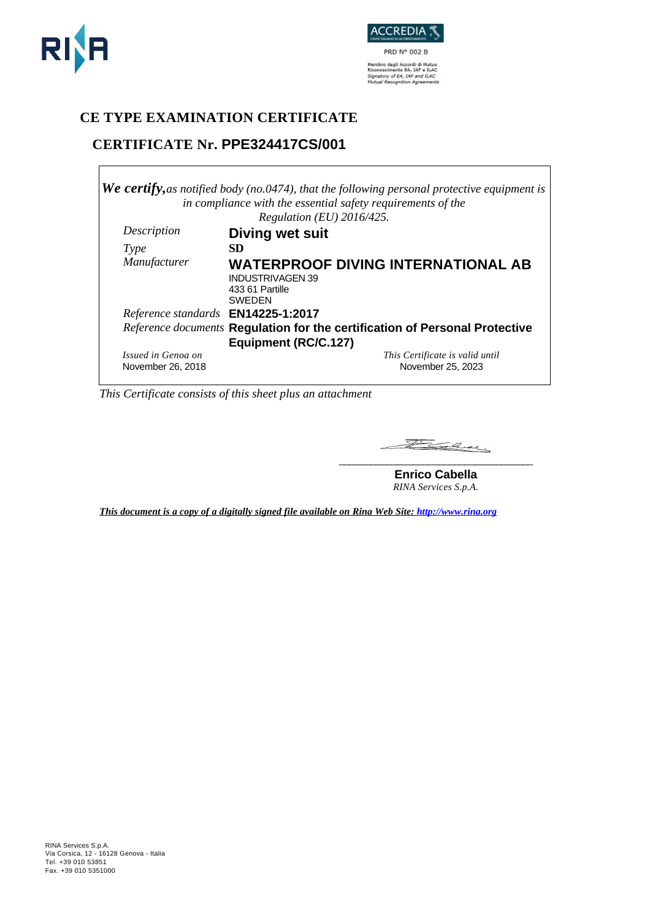



## **CE TYPE EXAMINATION CERTIFICATE**

# **CERTIFICATE Nr. PPE324417CS/001**

|                                    | <b>We certify,</b> as notified body (no.0474), that the following personal protective equipment is<br>in compliance with the essential safety requirements of the |  |
|------------------------------------|-------------------------------------------------------------------------------------------------------------------------------------------------------------------|--|
|                                    | Regulation (EU) 2016/425.                                                                                                                                         |  |
| Description                        | <b>Diving wet suit</b>                                                                                                                                            |  |
| Type                               | <b>SD</b>                                                                                                                                                         |  |
| Manufacturer                       | <b>WATERPROOF DIVING INTERNATIONAL AB</b><br><b>INDUSTRIVAGEN 39</b><br>433 61 Partille<br><b>SWEDEN</b>                                                          |  |
| Reference standards EN14225-1:2017 |                                                                                                                                                                   |  |
|                                    | Reference documents Regulation for the certification of Personal Protective<br>Equipment (RC/C.127)                                                               |  |
| Issued in Genoa on                 | This Certificate is valid until                                                                                                                                   |  |
| November 26, 2018                  | November 25, 2023                                                                                                                                                 |  |

*This Certificate consists of this sheet plus an attachment*

Facey **\_\_\_\_\_\_\_\_\_\_\_\_\_\_\_\_\_\_\_\_\_\_\_\_\_\_\_\_\_\_\_\_\_\_\_\_\_**

**Enrico Cabella** *RINA Services S.p.A.*

*This document is a copy of a digitally signed file available on Rina Web Site: http://www.rina.org*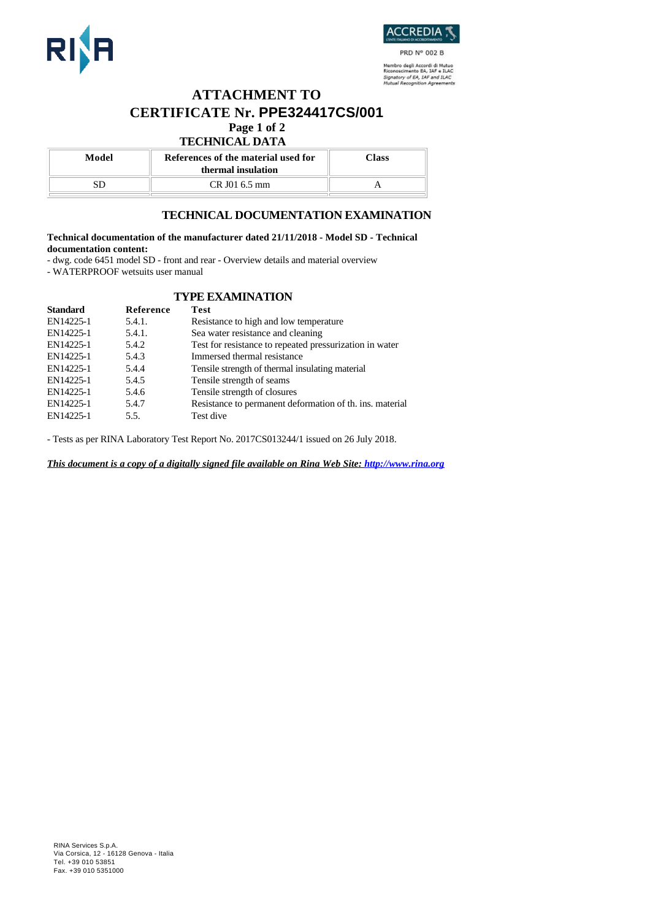



PRD N° 002 B Nembro degli Accordi di Mutuo<br>Riconoscimento EA, IAF e ILAC<br>Signatory of EA, IAF and ILAC<br>Mutual Recognition Agreements

### **ATTACHMENT TO CERTIFICATE Nr. PPE324417CS/001 Page 1 of 2**

### **TECHNICAL DATA**

| Model | References of the material used for<br>thermal insulation | Class |
|-------|-----------------------------------------------------------|-------|
| SD    | $CR$ J01 6.5 mm                                           |       |
|       |                                                           |       |

### **TECHNICAL DOCUMENTATION EXAMINATION**

#### **Technical documentation of the manufacturer dated 21/11/2018 - Model SD - Technical documentation content:**

- dwg. code 6451 model SD - front and rear - Overview details and material overview

- WATERPROOF wetsuits user manual

### **TYPE EXAMINATION**

| <b>Standard</b> | Reference | Test                                                     |
|-----------------|-----------|----------------------------------------------------------|
| EN14225-1       | 5.4.1.    | Resistance to high and low temperature                   |
| EN14225-1       | 5.4.1.    | Sea water resistance and cleaning                        |
| EN14225-1       | 5.4.2     | Test for resistance to repeated pressurization in water  |
| EN14225-1       | 5.4.3     | Immersed thermal resistance                              |
| EN14225-1       | 5.4.4     | Tensile strength of thermal insulating material          |
| EN14225-1       | 5.4.5     | Tensile strength of seams                                |
| EN14225-1       | 5.4.6     | Tensile strength of closures                             |
| EN14225-1       | 5.4.7     | Resistance to permanent deformation of th. ins. material |
| EN14225-1       | 5.5.      | Test dive                                                |
|                 |           |                                                          |

- Tests as per RINA Laboratory Test Report No. 2017CS013244/1 issued on 26 July 2018.

*This document is a copy of a digitally signed file available on Rina Web Site: http://www.rina.org*